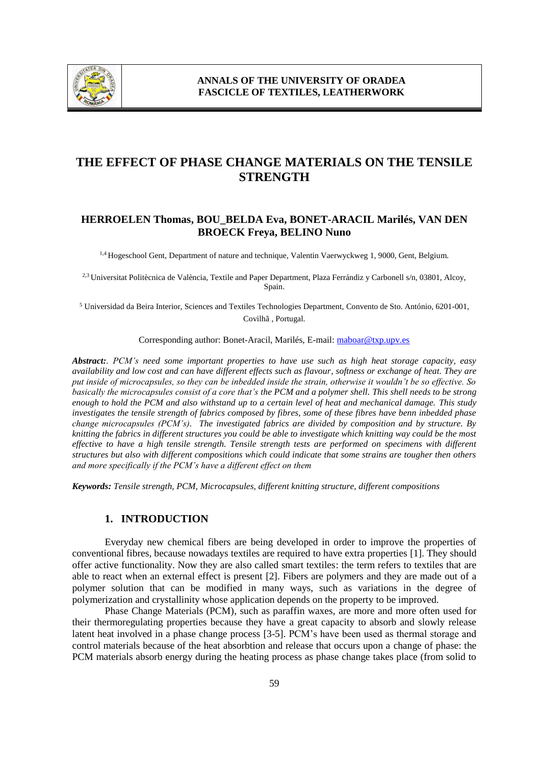

# **THE EFFECT OF PHASE CHANGE MATERIALS ON THE TENSILE STRENGTH**

# **HERROELEN Thomas, BOU\_BELDA Eva, BONET-ARACIL Marilés, VAN DEN BROECK Freya, BELINO Nuno**

1,4 Hogeschool Gent, Department of nature and technique, Valentin Vaerwyckweg 1, 9000, Gent, Belgium.

2,3 Universitat Politècnica de València, Textile and Paper Department, Plaza Ferrándiz y Carbonell s/n, 03801, Alcoy, Spain.

<sup>5</sup> Universidad da Beira Interior, Sciences and Textiles Technologies Department, Convento de Sto. António, 6201-001, Covilhã , Portugal.

Corresponding author: Bonet-Aracil, Marilés, E-mail: maboar@txp.upv.es

*Abstract:. PCM's need some important properties to have use such as high heat storage capacity, easy availability and low cost and can have different effects such as flavour, softness or exchange of heat. They are put inside of microcapsules, so they can be inbedded inside the strain, otherwise it wouldn't be so effective. So basically the microcapsules consist of a core that's the PCM and a polymer shell. This shell needs to be strong enough to hold the PCM and also withstand up to a certain level of heat and mechanical damage. This study investigates the tensile strength of fabrics composed by fibres, some of these fibres have benn inbedded phase change microcapsules (PCM's). The investigated fabrics are divided by composition and by structure. By knitting the fabrics in different structures you could be able to investigate which knitting way could be the most effective to have a high tensile strength. Tensile strength tests are performed on specimens with different structures but also with different compositions which could indicate that some strains are tougher then others and more specifically if the PCM's have a different effect on them*

*Keywords: Tensile strength, PCM, Microcapsules, different knitting structure, different compositions*

### **1. INTRODUCTION**

Everyday new chemical fibers are being developed in order to improve the properties of conventional fibres, because nowadays textiles are required to have extra properties [1]. They should offer active functionality. Now they are also called smart textiles: the term refers to textiles that are able to react when an external effect is present [2]. Fibers are polymers and they are made out of a polymer solution that can be modified in many ways, such as variations in the degree of polymerization and crystallinity whose application depends on the property to be improved.

Phase Change Materials (PCM), such as paraffin waxes, are more and more often used for their thermoregulating properties because they have a great capacity to absorb and slowly release latent heat involved in a phase change process [3-5]. PCM's have been used as thermal storage and control materials because of the heat absorbtion and release that occurs upon a change of phase: the PCM materials absorb energy during the heating process as phase change takes place (from solid to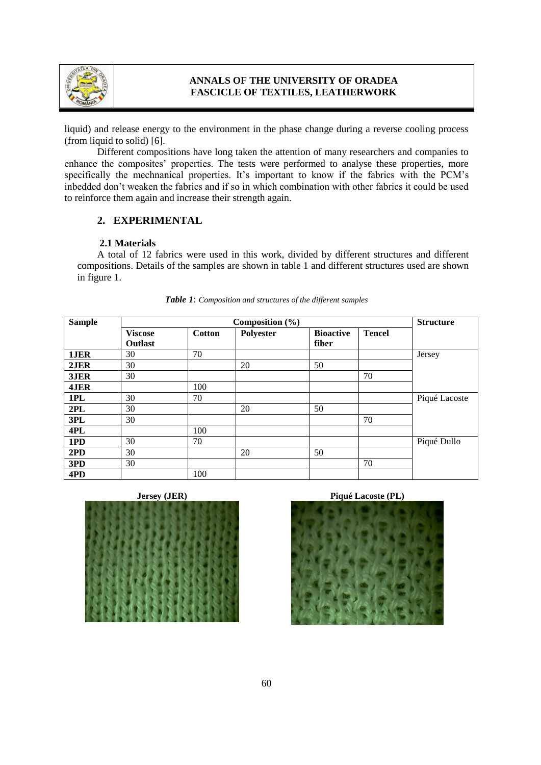

# **ANNALS OF THE UNIVERSITY OF ORADEA FASCICLE OF TEXTILES, LEATHERWORK**

liquid) and release energy to the environment in the phase change during a reverse cooling process (from liquid to solid) [6].

Different compositions have long taken the attention of many researchers and companies to enhance the composites' properties. The tests were performed to analyse these properties, more specifically the mechnanical properties. It's important to know if the fabrics with the PCM's inbedded don't weaken the fabrics and if so in which combination with other fabrics it could be used to reinforce them again and increase their strength again.

# **2. EXPERIMENTAL**

#### **2.1 Materials**

A total of 12 fabrics were used in this work, divided by different structures and different compositions. Details of the samples are shown in table 1 and different structures used are shown in figure 1.

| <b>Sample</b> | Composition $(\% )$              |               |           |                           |               | <b>Structure</b> |
|---------------|----------------------------------|---------------|-----------|---------------------------|---------------|------------------|
|               | <b>Viscose</b><br><b>Outlast</b> | <b>Cotton</b> | Polyester | <b>Bioactive</b><br>fiber | <b>Tencel</b> |                  |
| 1JER          | 30                               | 70            |           |                           |               | Jersey           |
| 2JER          | 30                               |               | 20        | 50                        |               |                  |
| 3JER          | 30                               |               |           |                           | 70            |                  |
| 4JER          |                                  | 100           |           |                           |               |                  |
| 1PL           | 30                               | 70            |           |                           |               | Piqué Lacoste    |
| 2PL           | 30                               |               | 20        | 50                        |               |                  |
| 3PL           | 30                               |               |           |                           | 70            |                  |
| 4PL           |                                  | 100           |           |                           |               |                  |
| 1PD           | 30                               | 70            |           |                           |               | Piqué Dullo      |
| 2PD           | 30                               |               | 20        | 50                        |               |                  |
| 3PD           | 30                               |               |           |                           | 70            |                  |
| 4PD           |                                  | 100           |           |                           |               |                  |

#### *Table 1*: *Composition and structures of the different samples*





## **Jersey (JER) Piqué Lacoste (PL)**

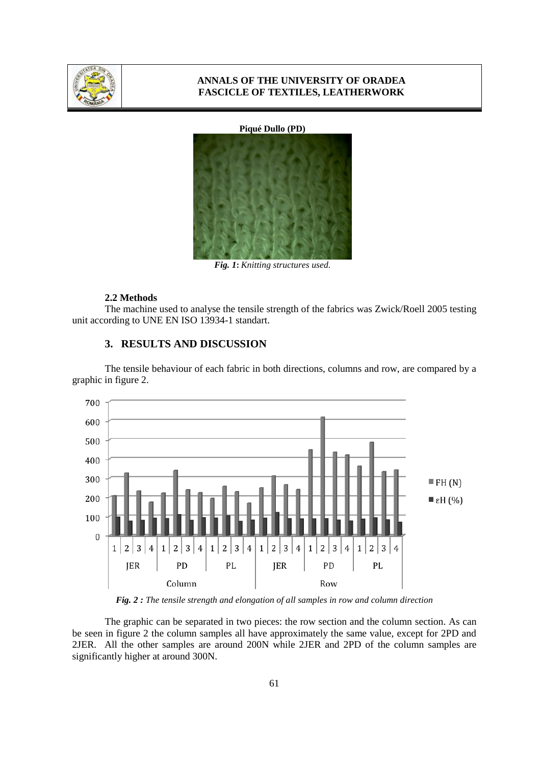

### **ANNALS OF THE UNIVERSITY OF ORADEA FASCICLE OF TEXTILES, LEATHERWORK**

#### **Piqué Dullo (PD)**



*Fig. 1***:** *Knitting structures used.*

### **2.2 Methods**

The machine used to analyse the tensile strength of the fabrics was Zwick/Roell 2005 testing unit according to UNE EN ISO 13934-1 standart.

# **3. RESULTS AND DISCUSSION**

The tensile behaviour of each fabric in both directions, columns and row, are compared by a graphic in figure 2.



*Fig. 2 : The tensile strength and elongation of all samples in row and column direction*

The graphic can be separated in two pieces: the row section and the column section. As can be seen in figure 2 the column samples all have approximately the same value, except for 2PD and 2JER. All the other samples are around 200N while 2JER and 2PD of the column samples are significantly higher at around 300N.